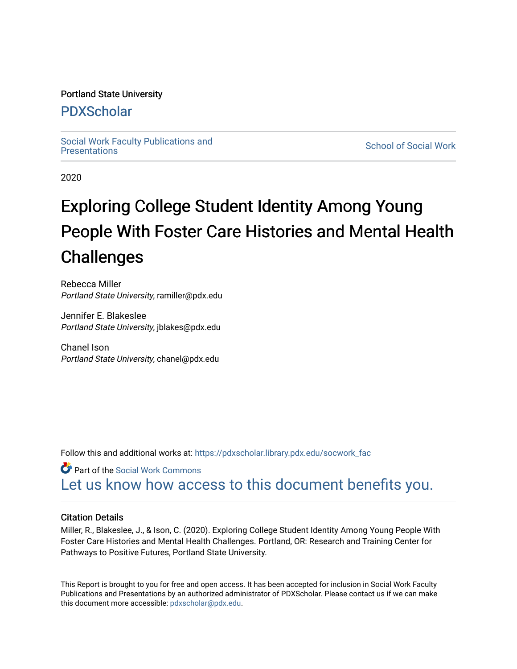### Portland State University

### [PDXScholar](https://pdxscholar.library.pdx.edu/)

Social Work Faculty Publications and<br>Presentations

**School of Social Work** 

2020

## Exploring College Student Identity Among Young People With Foster Care Histories and Mental Health **Challenges**

Rebecca Miller Portland State University, ramiller@pdx.edu

Jennifer E. Blakeslee Portland State University, jblakes@pdx.edu

Chanel Ison Portland State University, chanel@pdx.edu

Follow this and additional works at: [https://pdxscholar.library.pdx.edu/socwork\\_fac](https://pdxscholar.library.pdx.edu/socwork_fac?utm_source=pdxscholar.library.pdx.edu%2Fsocwork_fac%2F420&utm_medium=PDF&utm_campaign=PDFCoverPages) 

Part of the [Social Work Commons](http://network.bepress.com/hgg/discipline/713?utm_source=pdxscholar.library.pdx.edu%2Fsocwork_fac%2F420&utm_medium=PDF&utm_campaign=PDFCoverPages) [Let us know how access to this document benefits you.](http://library.pdx.edu/services/pdxscholar-services/pdxscholar-feedback/?ref=https://pdxscholar.library.pdx.edu/socwork_fac/420) 

#### Citation Details

Miller, R., Blakeslee, J., & Ison, C. (2020). Exploring College Student Identity Among Young People With Foster Care Histories and Mental Health Challenges. Portland, OR: Research and Training Center for Pathways to Positive Futures, Portland State University.

This Report is brought to you for free and open access. It has been accepted for inclusion in Social Work Faculty Publications and Presentations by an authorized administrator of PDXScholar. Please contact us if we can make this document more accessible: [pdxscholar@pdx.edu.](mailto:pdxscholar@pdx.edu)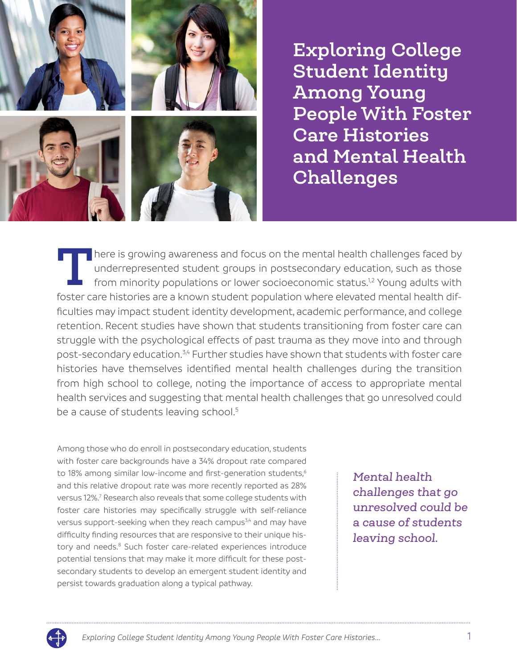

**Exploring College Student Identity Among Young People With Foster Care Histories and Mental Health Challenges**

There is growing awareness and focus on the mental health challenges faced by underrepresented student groups in postsecondary education, such as those from minority populations or lower socioeconomic status.<sup>1,2</sup> Young ad underrepresented student groups in postsecondary education, such as those from minority populations or lower socioeconomic status.1,2 Young adults with foster care histories are a known student population where elevated mental health difficulties may impact student identity development, academic performance, and college retention. Recent studies have shown that students transitioning from foster care can struggle with the psychological effects of past trauma as they move into and through post-secondary education.3,4 Further studies have shown that students with foster care histories have themselves identified mental health challenges during the transition from high school to college, noting the importance of access to appropriate mental health services and suggesting that mental health challenges that go unresolved could be a cause of students leaving school.<sup>5</sup>

Among those who do enroll in postsecondary education, students with foster care backgrounds have a 34% dropout rate compared to 18% among similar low-income and first-generation students,<sup>6</sup> and this relative dropout rate was more recently reported as 28% versus 12%.<sup>7</sup> Research also reveals that some college students with foster care histories may specifically struggle with self-reliance versus support-seeking when they reach campus<sup>3,4</sup> and may have difficulty finding resources that are responsive to their unique history and needs.<sup>8</sup> Such foster care-related experiences introduce potential tensions that may make it more difficult for these postsecondary students to develop an emergent student identity and persist towards graduation along a typical pathway.

*Mental health challenges that go unresolved could be a cause of students leaving school.*

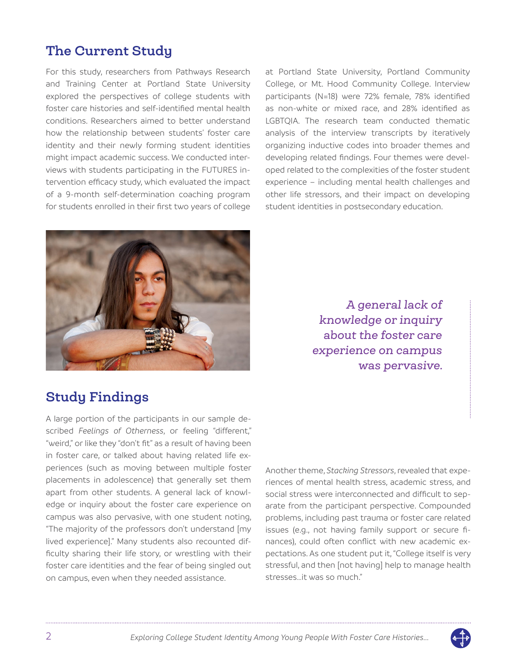### **The Current Study**

For this study, researchers from Pathways Research and Training Center at Portland State University explored the perspectives of college students with foster care histories and self-identified mental health conditions. Researchers aimed to better understand how the relationship between students' foster care identity and their newly forming student identities might impact academic success. We conducted interviews with students participating in the FUTURES intervention efficacy study, which evaluated the impact of a 9-month self-determination coaching program for students enrolled in their first two years of college at Portland State University, Portland Community College, or Mt. Hood Community College. Interview participants (N=18) were 72% female, 78% identified as non-white or mixed race, and 28% identified as LGBTQIA. The research team conducted thematic analysis of the interview transcripts by iteratively organizing inductive codes into broader themes and developing related findings. Four themes were developed related to the complexities of the foster student experience – including mental health challenges and other life stressors, and their impact on developing student identities in postsecondary education.



*A general lack of knowledge or inquiry about the foster care experience on campus was pervasive.*

### **Study Findings**

A large portion of the participants in our sample described *Feelings of Otherness*, or feeling "different," "weird," or like they "don't fit" as a result of having been in foster care, or talked about having related life experiences (such as moving between multiple foster placements in adolescence) that generally set them apart from other students. A general lack of knowledge or inquiry about the foster care experience on campus was also pervasive, with one student noting, "The majority of the professors don't understand [my lived experience]." Many students also recounted difficulty sharing their life story, or wrestling with their foster care identities and the fear of being singled out on campus, even when they needed assistance.

Another theme, *Stacking Stressors*, revealed that experiences of mental health stress, academic stress, and social stress were interconnected and difficult to separate from the participant perspective. Compounded problems, including past trauma or foster care related issues (e.g., not having family support or secure finances), could often conflict with new academic expectations. As one student put it, "College itself is very stressful, and then [not having] help to manage health stresses…it was so much."

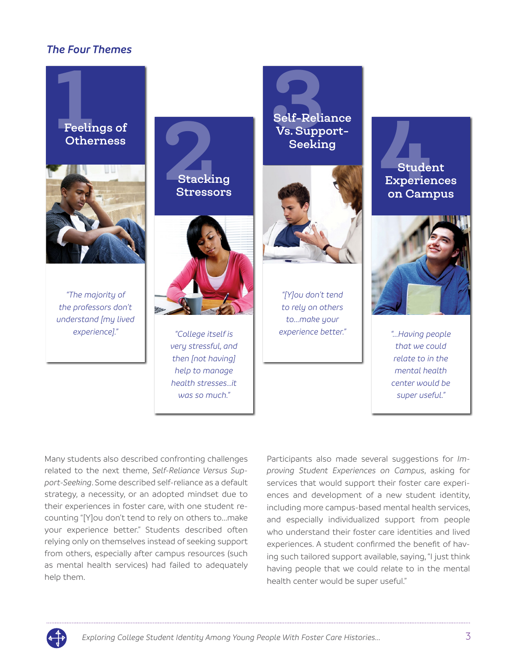### *The Four Themes*





*"The majority of the professors don't understand [my lived experience]."*





*"College itself is very stressful, and then [not having] help to manage health stresses…it was so much."*

Self-Reli<br>Vs. Supp<br>Seekir **Self-Reliance Vs. Support-Seeking**



*"[Y]ou don't tend to rely on others to...make your experience better."*

# 4**Student Experiences on Campus**



*"...Having people that we could relate to in the mental health center would be super useful."*

Many students also described confronting challenges related to the next theme, *Self-Reliance Versus Support-Seeking*. Some described self-reliance as a default strategy, a necessity, or an adopted mindset due to their experiences in foster care, with one student recounting "[Y]ou don't tend to rely on others to...make your experience better." Students described often relying only on themselves instead of seeking support from others, especially after campus resources (such as mental health services) had failed to adequately help them.

Participants also made several suggestions for *Improving Student Experiences on Campus*, asking for services that would support their foster care experiences and development of a new student identity, including more campus-based mental health services, and especially individualized support from people who understand their foster care identities and lived experiences. A student confirmed the benefit of having such tailored support available, saying, "I just think having people that we could relate to in the mental health center would be super useful."

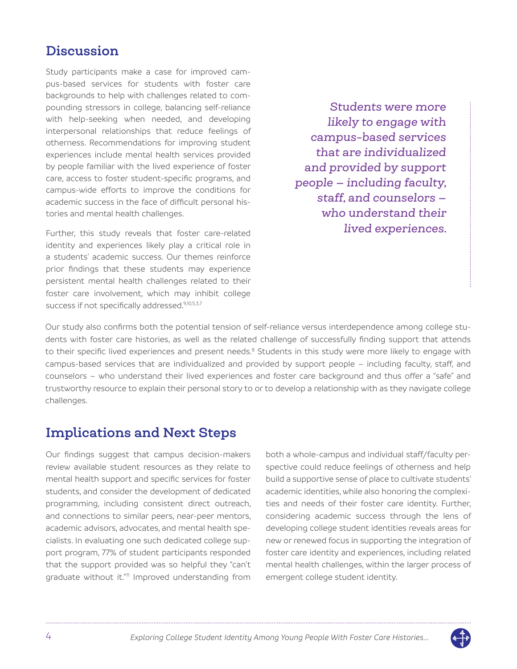### **Discussion**

Study participants make a case for improved campus-based services for students with foster care backgrounds to help with challenges related to compounding stressors in college, balancing self-reliance with help-seeking when needed, and developing interpersonal relationships that reduce feelings of otherness. Recommendations for improving student experiences include mental health services provided by people familiar with the lived experience of foster care, access to foster student-specific programs, and campus-wide efforts to improve the conditions for academic success in the face of difficult personal histories and mental health challenges.

Further, this study reveals that foster care-related identity and experiences likely play a critical role in a students' academic success. Our themes reinforce prior findings that these students may experience persistent mental health challenges related to their foster care involvement, which may inhibit college success if not specifically addressed.<sup>9,10,5,3,7</sup>

*Students were more likely to engage with campus-based services that are individualized and provided by support people — including faculty, staff, and counselors who understand their lived experiences.*

Our study also confirms both the potential tension of self-reliance versus interdependence among college students with foster care histories, as well as the related challenge of successfully finding support that attends to their specific lived experiences and present needs.<sup>8</sup> Students in this study were more likely to engage with campus-based services that are individualized and provided by support people – including faculty, staff, and counselors – who understand their lived experiences and foster care background and thus offer a "safe" and trustworthy resource to explain their personal story to or to develop a relationship with as they navigate college challenges.

### **Implications and Next Steps**

Our findings suggest that campus decision-makers review available student resources as they relate to mental health support and specific services for foster students, and consider the development of dedicated programming, including consistent direct outreach, and connections to similar peers, near-peer mentors, academic advisors, advocates, and mental health specialists. In evaluating one such dedicated college support program, 77% of student participants responded that the support provided was so helpful they "can't graduate without it."<sup>11</sup> Improved understanding from

both a whole-campus and individual staff/faculty perspective could reduce feelings of otherness and help build a supportive sense of place to cultivate students' academic identities, while also honoring the complexities and needs of their foster care identity. Further, considering academic success through the lens of developing college student identities reveals areas for new or renewed focus in supporting the integration of foster care identity and experiences, including related mental health challenges, within the larger process of emergent college student identity.